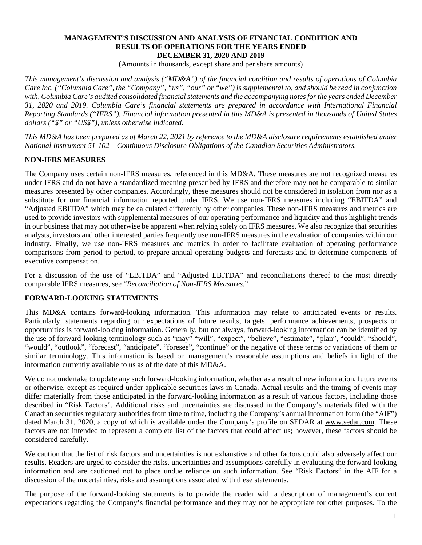#### **MANAGEMENT'S DISCUSSION AND ANALYSIS OF FINANCIAL CONDITION AND RESULTS OF OPERATIONS FOR THE YEARS ENDED DECEMBER 31, 2020 AND 2019**

(Amounts in thousands, except share and per share amounts)

*This management's discussion and analysis ("MD&A") of the financial condition and results of operations of Columbia Care Inc. ("Columbia Care", the "Company", "us", "our" or "we") is supplemental to, and should be read in conjunction with, Columbia Care's audited consolidated financial statements and the accompanying notes for the years ended December 31, 2020 and 2019. Columbia Care's financial statements are prepared in accordance with International Financial Reporting Standards ("IFRS"). Financial information presented in this MD&A is presented in thousands of United States dollars ("\$" or "US\$"), unless otherwise indicated.*

*This MD&A has been prepared as of March 22, 2021 by reference to the MD&A disclosure requirements established under National Instrument 51-102 – Continuous Disclosure Obligations of the Canadian Securities Administrators.*

## **NON-IFRS MEASURES**

The Company uses certain non-IFRS measures, referenced in this MD&A. These measures are not recognized measures under IFRS and do not have a standardized meaning prescribed by IFRS and therefore may not be comparable to similar measures presented by other companies. Accordingly, these measures should not be considered in isolation from nor as a substitute for our financial information reported under IFRS. We use non-IFRS measures including "EBITDA" and "Adjusted EBITDA" which may be calculated differently by other companies. These non-IFRS measures and metrics are used to provide investors with supplemental measures of our operating performance and liquidity and thus highlight trends in our business that may not otherwise be apparent when relying solely on IFRS measures. We also recognize that securities analysts, investors and other interested parties frequently use non-IFRS measures in the evaluation of companies within our industry. Finally, we use non-IFRS measures and metrics in order to facilitate evaluation of operating performance comparisons from period to period, to prepare annual operating budgets and forecasts and to determine components of executive compensation.

For a discussion of the use of "EBITDA" and "Adjusted EBITDA" and reconciliations thereof to the most directly comparable IFRS measures, see "*Reconciliation of Non-IFRS Measures.*"

### **FORWARD-LOOKING STATEMENTS**

This MD&A contains forward-looking information. This information may relate to anticipated events or results. Particularly, statements regarding our expectations of future results, targets, performance achievements, prospects or opportunities is forward-looking information. Generally, but not always, forward-looking information can be identified by the use of forward-looking terminology such as "may" "will", "expect", "believe", "estimate", "plan", "could", "should", "would", "outlook", "forecast", "anticipate", "foresee", "continue" or the negative of these terms or variations of them or similar terminology. This information is based on management's reasonable assumptions and beliefs in light of the information currently available to us as of the date of this MD&A.

We do not undertake to update any such forward-looking information, whether as a result of new information, future events or otherwise, except as required under applicable securities laws in Canada. Actual results and the timing of events may differ materially from those anticipated in the forward-looking information as a result of various factors, including those described in "Risk Factors". Additional risks and uncertainties are discussed in the Company's materials filed with the Canadian securities regulatory authorities from time to time, including the Company's annual information form (the "AIF") dated March 31, 2020, a copy of which is available under the Company's profile on SEDAR at www.sedar.com. These factors are not intended to represent a complete list of the factors that could affect us; however, these factors should be considered carefully.

We caution that the list of risk factors and uncertainties is not exhaustive and other factors could also adversely affect our results. Readers are urged to consider the risks, uncertainties and assumptions carefully in evaluating the forward-looking information and are cautioned not to place undue reliance on such information. See "Risk Factors" in the AIF for a discussion of the uncertainties, risks and assumptions associated with these statements.

The purpose of the forward-looking statements is to provide the reader with a description of management's current expectations regarding the Company's financial performance and they may not be appropriate for other purposes. To the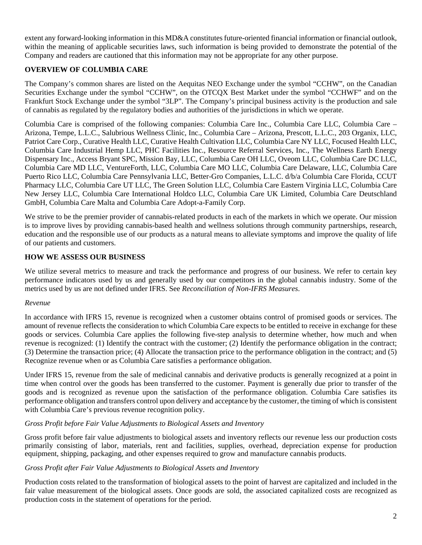extent any forward-looking information in this MD&A constitutes future-oriented financial information or financial outlook, within the meaning of applicable securities laws, such information is being provided to demonstrate the potential of the Company and readers are cautioned that this information may not be appropriate for any other purpose.

# **OVERVIEW OF COLUMBIA CARE**

The Company's common shares are listed on the Aequitas NEO Exchange under the symbol "CCHW", on the Canadian Securities Exchange under the symbol "CCHW", on the OTCQX Best Market under the symbol "CCHWF" and on the Frankfurt Stock Exchange under the symbol "3LP". The Company's principal business activity is the production and sale of cannabis as regulated by the regulatory bodies and authorities of the jurisdictions in which we operate.

Columbia Care is comprised of the following companies: Columbia Care Inc., Columbia Care LLC, Columbia Care – Arizona, Tempe, L.L.C., Salubrious Wellness Clinic, Inc., Columbia Care – Arizona, Prescott, L.L.C., 203 Organix, LLC, Patriot Care Corp., Curative Health LLC, Curative Health Cultivation LLC, Columbia Care NY LLC, Focused Health LLC, Columbia Care Industrial Hemp LLC, PHC Facilities Inc., Resource Referral Services, Inc., The Wellness Earth Energy Dispensary Inc., Access Bryant SPC, Mission Bay, LLC, Columbia Care OH LLC, Oveom LLC, Columbia Care DC LLC, Columbia Care MD LLC, VentureForth, LLC, Columbia Care MO LLC, Columbia Care Delaware, LLC, Columbia Care Puerto Rico LLC, Columbia Care Pennsylvania LLC, Better-Gro Companies, L.L.C. d/b/a Columbia Care Florida, CCUT Pharmacy LLC, Columbia Care UT LLC, The Green Solution LLC, Columbia Care Eastern Virginia LLC, Columbia Care New Jersey LLC, Columbia Care International Holdco LLC, Columbia Care UK Limited, Columbia Care Deutschland GmbH, Columbia Care Malta and Columbia Care Adopt-a-Family Corp.

We strive to be the premier provider of cannabis-related products in each of the markets in which we operate. Our mission is to improve lives by providing cannabis-based health and wellness solutions through community partnerships, research, education and the responsible use of our products as a natural means to alleviate symptoms and improve the quality of life of our patients and customers.

# **HOW WE ASSESS OUR BUSINESS**

We utilize several metrics to measure and track the performance and progress of our business. We refer to certain key performance indicators used by us and generally used by our competitors in the global cannabis industry. Some of the metrics used by us are not defined under IFRS. See *Reconciliation of Non-IFRS Measures*.

# *Revenue*

In accordance with IFRS 15, revenue is recognized when a customer obtains control of promised goods or services. The amount of revenue reflects the consideration to which Columbia Care expects to be entitled to receive in exchange for these goods or services. Columbia Care applies the following five-step analysis to determine whether, how much and when revenue is recognized: (1) Identify the contract with the customer; (2) Identify the performance obligation in the contract; (3) Determine the transaction price; (4) Allocate the transaction price to the performance obligation in the contract; and (5) Recognize revenue when or as Columbia Care satisfies a performance obligation.

Under IFRS 15, revenue from the sale of medicinal cannabis and derivative products is generally recognized at a point in time when control over the goods has been transferred to the customer. Payment is generally due prior to transfer of the goods and is recognized as revenue upon the satisfaction of the performance obligation. Columbia Care satisfies its performance obligation and transfers control upon delivery and acceptance by the customer, the timing of which is consistent with Columbia Care's previous revenue recognition policy.

### *Gross Profit before Fair Value Adjustments to Biological Assets and Inventory*

Gross profit before fair value adjustments to biological assets and inventory reflects our revenue less our production costs primarily consisting of labor, materials, rent and facilities, supplies, overhead, depreciation expense for production equipment, shipping, packaging, and other expenses required to grow and manufacture cannabis products.

### *Gross Profit after Fair Value Adjustments to Biological Assets and Inventory*

Production costs related to the transformation of biological assets to the point of harvest are capitalized and included in the fair value measurement of the biological assets. Once goods are sold, the associated capitalized costs are recognized as production costs in the statement of operations for the period.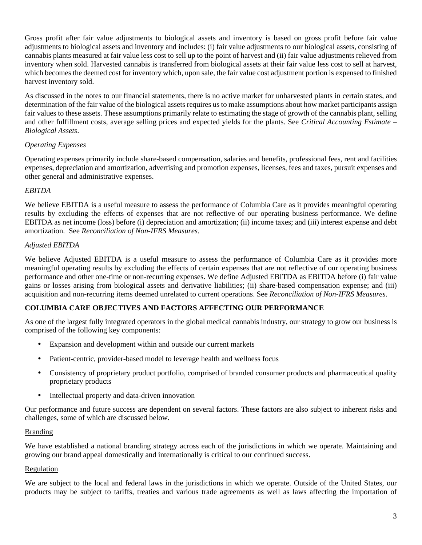Gross profit after fair value adjustments to biological assets and inventory is based on gross profit before fair value adjustments to biological assets and inventory and includes: (i) fair value adjustments to our biological assets, consisting of cannabis plants measured at fair value less cost to sell up to the point of harvest and (ii) fair value adjustments relieved from inventory when sold. Harvested cannabis is transferred from biological assets at their fair value less cost to sell at harvest, which becomes the deemed cost for inventory which, upon sale, the fair value cost adjustment portion is expensed to finished harvest inventory sold.

As discussed in the notes to our financial statements, there is no active market for unharvested plants in certain states, and determination of the fair value of the biological assets requires us to make assumptions about how market participants assign fair values to these assets. These assumptions primarily relate to estimating the stage of growth of the cannabis plant, selling and other fulfillment costs, average selling prices and expected yields for the plants. See *Critical Accounting Estimate – Biological Assets*.

# *Operating Expenses*

Operating expenses primarily include share-based compensation, salaries and benefits, professional fees, rent and facilities expenses, depreciation and amortization, advertising and promotion expenses, licenses, fees and taxes, pursuit expenses and other general and administrative expenses.

# *EBITDA*

We believe EBITDA is a useful measure to assess the performance of Columbia Care as it provides meaningful operating results by excluding the effects of expenses that are not reflective of our operating business performance. We define EBITDA as net income (loss) before (i) depreciation and amortization; (ii) income taxes; and (iii) interest expense and debt amortization. See *Reconciliation of Non-IFRS Measures*.

# *Adjusted EBITDA*

We believe Adjusted EBITDA is a useful measure to assess the performance of Columbia Care as it provides more meaningful operating results by excluding the effects of certain expenses that are not reflective of our operating business performance and other one-time or non-recurring expenses. We define Adjusted EBITDA as EBITDA before (i) fair value gains or losses arising from biological assets and derivative liabilities; (ii) share-based compensation expense; and (iii) acquisition and non-recurring items deemed unrelated to current operations. See *Reconciliation of Non-IFRS Measures*.

# **COLUMBIA CARE OBJECTIVES AND FACTORS AFFECTING OUR PERFORMANCE**

As one of the largest fully integrated operators in the global medical cannabis industry, our strategy to grow our business is comprised of the following key components:

- Expansion and development within and outside our current markets
- Patient-centric, provider-based model to leverage health and wellness focus
- Consistency of proprietary product portfolio, comprised of branded consumer products and pharmaceutical quality proprietary products
- Intellectual property and data-driven innovation

Our performance and future success are dependent on several factors. These factors are also subject to inherent risks and challenges, some of which are discussed below.

# Branding

We have established a national branding strategy across each of the jurisdictions in which we operate. Maintaining and growing our brand appeal domestically and internationally is critical to our continued success.

### Regulation

We are subject to the local and federal laws in the jurisdictions in which we operate. Outside of the United States, our products may be subject to tariffs, treaties and various trade agreements as well as laws affecting the importation of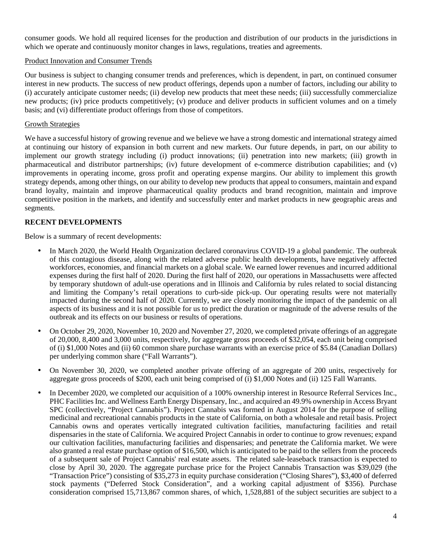consumer goods. We hold all required licenses for the production and distribution of our products in the jurisdictions in which we operate and continuously monitor changes in laws, regulations, treaties and agreements.

## Product Innovation and Consumer Trends

Our business is subject to changing consumer trends and preferences, which is dependent, in part, on continued consumer interest in new products. The success of new product offerings, depends upon a number of factors, including our ability to (i) accurately anticipate customer needs; (ii) develop new products that meet these needs; (iii) successfully commercialize new products; (iv) price products competitively; (v) produce and deliver products in sufficient volumes and on a timely basis; and (vi) differentiate product offerings from those of competitors.

## Growth Strategies

We have a successful history of growing revenue and we believe we have a strong domestic and international strategy aimed at continuing our history of expansion in both current and new markets. Our future depends, in part, on our ability to implement our growth strategy including (i) product innovations; (ii) penetration into new markets; (iii) growth in pharmaceutical and distributor partnerships; (iv) future development of e-commerce distribution capabilities; and (v) improvements in operating income, gross profit and operating expense margins. Our ability to implement this growth strategy depends, among other things, on our ability to develop new products that appeal to consumers, maintain and expand brand loyalty, maintain and improve pharmaceutical quality products and brand recognition, maintain and improve competitive position in the markets, and identify and successfully enter and market products in new geographic areas and segments.

# **RECENT DEVELOPMENTS**

Below is a summary of recent developments:

- In March 2020, the World Health Organization declared coronavirus COVID-19 a global pandemic. The outbreak of this contagious disease, along with the related adverse public health developments, have negatively affected workforces, economies, and financial markets on a global scale. We earned lower revenues and incurred additional expenses during the first half of 2020. During the first half of 2020, our operations in Massachusetts were affected by temporary shutdown of adult-use operations and in Illinois and California by rules related to social distancing and limiting the Company's retail operations to curb-side pick-up. Our operating results were not materially impacted during the second half of 2020. Currently, we are closely monitoring the impact of the pandemic on all aspects of its business and it is not possible for us to predict the duration or magnitude of the adverse results of the outbreak and its effects on our business or results of operations.
- On October 29, 2020, November 10, 2020 and November 27, 2020, we completed private offerings of an aggregate of 20,000, 8,400 and 3,000 units, respectively, for aggregate gross proceeds of \$32,054, each unit being comprised of (i) \$1,000 Notes and (ii) 60 common share purchase warrants with an exercise price of \$5.84 (Canadian Dollars) per underlying common share ("Fall Warrants").
- On November 30, 2020, we completed another private offering of an aggregate of 200 units, respectively for aggregate gross proceeds of \$200, each unit being comprised of (i) \$1,000 Notes and (ii) 125 Fall Warrants.
- In December 2020, we completed our acquisition of a 100% ownership interest in Resource Referral Services Inc., PHC Facilities Inc. and Wellness Earth Energy Dispensary, Inc., and acquired an 49.9% ownership in Access Bryant SPC (collectively, "Project Cannabis"). Project Cannabis was formed in August 2014 for the purpose of selling medicinal and recreational cannabis products in the state of California, on both a wholesale and retail basis. Project Cannabis owns and operates vertically integrated cultivation facilities, manufacturing facilities and retail dispensaries in the state of California. We acquired Project Cannabis in order to continue to grow revenues; expand our cultivation facilities, manufacturing facilities and dispensaries; and penetrate the California market. We were also granted a real estate purchase option of \$16,500, which is anticipated to be paid to the sellers from the proceeds of a subsequent sale of Project Cannabis' real estate assets. The related sale-leaseback transaction is expected to close by April 30, 2020. The aggregate purchase price for the Project Cannabis Transaction was \$39,029 (the "Transaction Price") consisting of \$35,273 in equity purchase consideration ("Closing Shares"), \$3,400 of deferred stock payments ("Deferred Stock Consideration", and a working capital adjustment of \$356). Purchase consideration comprised 15,713,867 common shares, of which, 1,528,881 of the subject securities are subject to a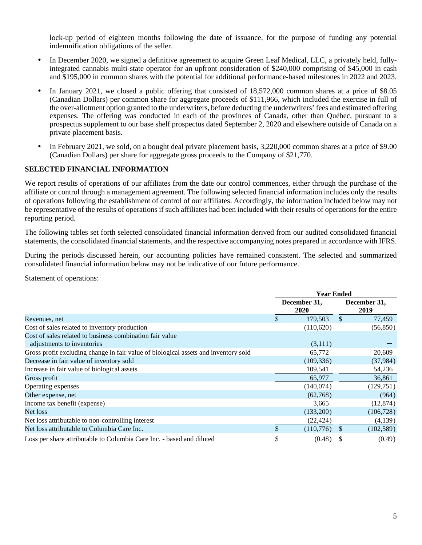lock-up period of eighteen months following the date of issuance, for the purpose of funding any potential indemnification obligations of the seller.

- In December 2020, we signed a definitive agreement to acquire Green Leaf Medical, LLC, a privately held, fullyintegrated cannabis multi-state operator for an upfront consideration of \$240,000 comprising of \$45,000 in cash and \$195,000 in common shares with the potential for additional performance-based milestones in 2022 and 2023.
- In January 2021, we closed a public offering that consisted of  $18,572,000$  common shares at a price of \$8.05 (Canadian Dollars) per common share for aggregate proceeds of \$111,966, which included the exercise in full of the over-allotment option granted to the underwriters, before deducting the underwriters' fees and estimated offering expenses. The offering was conducted in each of the provinces of Canada, other than Québec, pursuant to a prospectus supplement to our base shelf prospectus dated September 2, 2020 and elsewhere outside of Canada on a private placement basis.
- In February 2021, we sold, on a bought deal private placement basis, 3,220,000 common shares at a price of \$9.00 (Canadian Dollars) per share for aggregate gross proceeds to the Company of \$21,770.

# **SELECTED FINANCIAL INFORMATION**

We report results of operations of our affiliates from the date our control commences, either through the purchase of the affiliate or control through a management agreement. The following selected financial information includes only the results of operations following the establishment of control of our affiliates. Accordingly, the information included below may not be representative of the results of operations if such affiliates had been included with their results of operations for the entire reporting period.

The following tables set forth selected consolidated financial information derived from our audited consolidated financial statements, the consolidated financial statements, and the respective accompanying notes prepared in accordance with IFRS.

During the periods discussed herein, our accounting policies have remained consistent. The selected and summarized consolidated financial information below may not be indicative of our future performance.

Statement of operations:

|                                                                                     | <b>Year Ended</b> |                             |              |                      |  |  |
|-------------------------------------------------------------------------------------|-------------------|-----------------------------|--------------|----------------------|--|--|
|                                                                                     |                   | December 31,<br><b>2020</b> |              | December 31,<br>2019 |  |  |
| Revenues, net                                                                       | \$                | 179,503                     | $\mathbb{S}$ | 77,459               |  |  |
| Cost of sales related to inventory production                                       |                   | (110,620)                   |              | (56, 850)            |  |  |
| Cost of sales related to business combination fair value                            |                   |                             |              |                      |  |  |
| adjustments to inventories                                                          |                   | (3,111)                     |              |                      |  |  |
| Gross profit excluding change in fair value of biological assets and inventory sold |                   | 65,772                      |              | 20,609               |  |  |
| Decrease in fair value of inventory sold                                            |                   | (109, 336)                  |              | (37, 984)            |  |  |
| Increase in fair value of biological assets                                         |                   | 109,541                     |              | 54,236               |  |  |
| Gross profit                                                                        |                   | 65,977                      |              | 36,861               |  |  |
| Operating expenses                                                                  |                   | (140,074)                   |              | (129,751)            |  |  |
| Other expense, net                                                                  |                   | (62,768)                    |              | (964)                |  |  |
| Income tax benefit (expense)                                                        |                   | 3,665                       |              | (12, 874)            |  |  |
| Net loss                                                                            |                   | (133,200)                   |              | (106, 728)           |  |  |
| Net loss attributable to non-controlling interest                                   |                   | (22, 424)                   |              | (4,139)              |  |  |
| Net loss attributable to Columbia Care Inc.                                         |                   | (110,776)                   | \$.          | (102, 589)           |  |  |
| Loss per share attributable to Columbia Care Inc. - based and diluted               |                   | (0.48)                      |              | (0.49)               |  |  |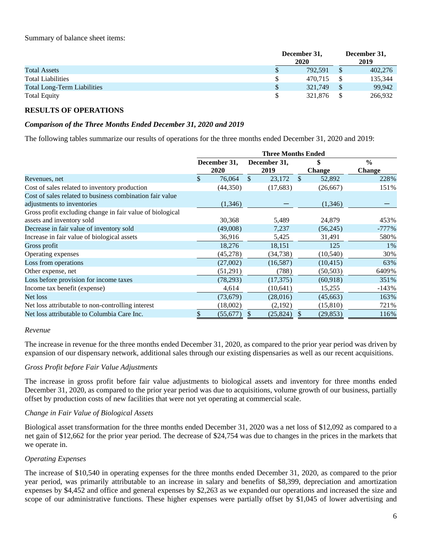|                                    | December 31,<br>2020 | December 31,<br>2019 |
|------------------------------------|----------------------|----------------------|
| <b>Total Assets</b>                | \$<br>792.591        | 402,276              |
| <b>Total Liabilities</b>           | 470.715              | 135,344              |
| <b>Total Long-Term Liabilities</b> | \$<br>321,749        | 99.942               |
| <b>Total Equity</b>                | 321,876              | 266,932              |

# **RESULTS OF OPERATIONS**

### *Comparison of the Three Months Ended December 31, 2020 and 2019*

The following tables summarize our results of operations for the three months ended December 31, 2020 and 2019:

|                                                           | <b>Three Months Ended</b> |           |               |              |               |           |               |  |
|-----------------------------------------------------------|---------------------------|-----------|---------------|--------------|---------------|-----------|---------------|--|
|                                                           | December 31,              |           |               | December 31, | <b>Change</b> |           | $\frac{0}{0}$ |  |
|                                                           |                           | 2020      | 2019          |              |               |           | <b>Change</b> |  |
| Revenues, net                                             |                           | 76,064    | <sup>\$</sup> | 23,172       | $\mathcal{S}$ | 52,892    | 228%          |  |
| Cost of sales related to inventory production             |                           | (44,350)  |               | (17,683)     |               | (26, 667) | 151%          |  |
| Cost of sales related to business combination fair value  |                           |           |               |              |               |           |               |  |
| adjustments to inventories                                |                           | (1,346)   |               |              |               | (1,346)   |               |  |
| Gross profit excluding change in fair value of biological |                           |           |               |              |               |           |               |  |
| assets and inventory sold                                 |                           | 30,368    |               | 5,489        |               | 24,879    | 453%          |  |
| Decrease in fair value of inventory sold                  |                           | (49,008)  |               | 7,237        |               | (56,245)  | $-777%$       |  |
| Increase in fair value of biological assets               |                           | 36,916    |               | 5,425        |               | 31,491    | 580%          |  |
| Gross profit                                              |                           | 18,276    |               | 18,151       |               | 125       | $1\%$         |  |
| Operating expenses                                        |                           | (45,278)  |               | (34, 738)    |               | (10, 540) | 30%           |  |
| Loss from operations                                      |                           | (27,002)  |               | (16, 587)    |               | (10, 415) | 63%           |  |
| Other expense, net                                        |                           | (51,291)  |               | (788)        |               | (50, 503) | 6409%         |  |
| Loss before provision for income taxes                    |                           | (78, 293) |               | (17, 375)    |               | (60, 918) | 351%          |  |
| Income tax benefit (expense)                              |                           | 4,614     |               | (10, 641)    |               | 15,255    | $-143%$       |  |
| Net loss                                                  |                           | (73, 679) |               | (28,016)     |               | (45, 663) | 163%          |  |
| Net loss attributable to non-controlling interest         |                           | (18,002)  |               | (2,192)      |               | (15, 810) | 721%          |  |
| Net loss attributable to Columbia Care Inc.               |                           | (55, 677) | S             | (25, 824)    | S             | (29, 853) | 116%          |  |

#### *Revenue*

The increase in revenue for the three months ended December 31, 2020, as compared to the prior year period was driven by expansion of our dispensary network, additional sales through our existing dispensaries as well as our recent acquisitions.

#### *Gross Profit before Fair Value Adjustments*

The increase in gross profit before fair value adjustments to biological assets and inventory for three months ended December 31, 2020, as compared to the prior year period was due to acquisitions, volume growth of our business, partially offset by production costs of new facilities that were not yet operating at commercial scale.

### *Change in Fair Value of Biological Assets*

Biological asset transformation for the three months ended December 31, 2020 was a net loss of \$12,092 as compared to a net gain of \$12,662 for the prior year period. The decrease of \$24,754 was due to changes in the prices in the markets that we operate in.

### *Operating Expenses*

The increase of \$10,540 in operating expenses for the three months ended December 31, 2020, as compared to the prior year period, was primarily attributable to an increase in salary and benefits of \$8,399, depreciation and amortization expenses by \$4,452 and office and general expenses by \$2,263 as we expanded our operations and increased the size and scope of our administrative functions. These higher expenses were partially offset by \$1,045 of lower advertising and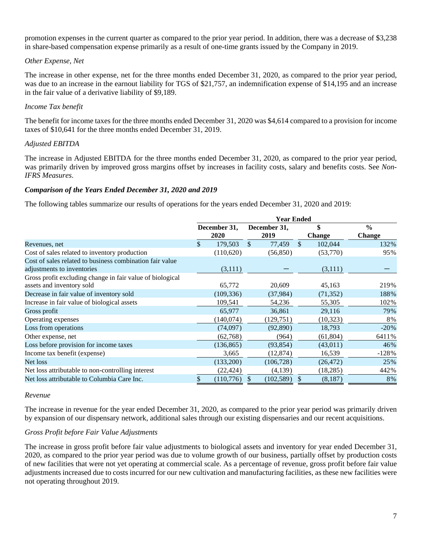promotion expenses in the current quarter as compared to the prior year period. In addition, there was a decrease of \$3,238 in share-based compensation expense primarily as a result of one-time grants issued by the Company in 2019.

## *Other Expense, Net*

The increase in other expense, net for the three months ended December 31, 2020, as compared to the prior year period, was due to an increase in the earnout liability for TGS of \$21,757, an indemnification expense of \$14,195 and an increase in the fair value of a derivative liability of \$9,189.

## *Income Tax benefit*

The benefit for income taxes for the three months ended December 31, 2020 was \$4,614 compared to a provision for income taxes of \$10,641 for the three months ended December 31, 2019.

## *Adjusted EBITDA*

The increase in Adjusted EBITDA for the three months ended December 31, 2020, as compared to the prior year period, was primarily driven by improved gross margins offset by increases in facility costs, salary and benefits costs. See *Non-IFRS Measures*.

## *Comparison of the Years Ended December 31, 2020 and 2019*

The following tables summarize our results of operations for the years ended December 31, 2020 and 2019:

|                                                           | <b>Year Ended</b> |              |     |              |               |           |               |  |  |
|-----------------------------------------------------------|-------------------|--------------|-----|--------------|---------------|-----------|---------------|--|--|
|                                                           |                   | December 31, |     | December 31, |               | \$        | $\frac{0}{0}$ |  |  |
|                                                           |                   | 2020         |     | 2019         | <b>Change</b> |           | <b>Change</b> |  |  |
| Revenues, net                                             | \$.               | 179,503      | \$. | 77,459       | $\mathbb{S}$  | 102,044   | 132%          |  |  |
| Cost of sales related to inventory production             |                   | (110,620)    |     | (56, 850)    |               | (53,770)  | 95%           |  |  |
| Cost of sales related to business combination fair value  |                   |              |     |              |               |           |               |  |  |
| adjustments to inventories                                |                   | (3,111)      |     |              |               | (3,111)   |               |  |  |
| Gross profit excluding change in fair value of biological |                   |              |     |              |               |           |               |  |  |
| assets and inventory sold                                 |                   | 65,772       |     | 20,609       |               | 45,163    | 219%          |  |  |
| Decrease in fair value of inventory sold                  |                   | (109, 336)   |     | (37, 984)    |               | (71, 352) | 188%          |  |  |
| Increase in fair value of biological assets               |                   | 109,541      |     | 54,236       |               | 55,305    | 102%          |  |  |
| Gross profit                                              |                   | 65,977       |     | 36,861       |               | 29,116    | 79%           |  |  |
| Operating expenses                                        |                   | (140,074)    |     | (129,751)    |               | (10, 323) | 8%            |  |  |
| Loss from operations                                      |                   | (74,097)     |     | (92,890)     |               | 18,793    | $-20%$        |  |  |
| Other expense, net                                        |                   | (62,768)     |     | (964)        |               | (61, 804) | 6411%         |  |  |
| Loss before provision for income taxes                    |                   | (136, 865)   |     | (93, 854)    |               | (43,011)  | 46%           |  |  |
| Income tax benefit (expense)                              |                   | 3,665        |     | (12, 874)    |               | 16,539    | $-128%$       |  |  |
| Net loss                                                  |                   | (133,200)    |     | (106, 728)   |               | (26, 472) | 25%           |  |  |
| Net loss attributable to non-controlling interest         |                   | (22, 424)    |     | (4,139)      |               | (18, 285) | 442%          |  |  |
| Net loss attributable to Columbia Care Inc.               |                   | (110, 776)   |     | (102, 589)   | <sup>2</sup>  | (8,187)   | 8%            |  |  |

#### *Revenue*

The increase in revenue for the year ended December 31, 2020, as compared to the prior year period was primarily driven by expansion of our dispensary network, additional sales through our existing dispensaries and our recent acquisitions.

### *Gross Profit before Fair Value Adjustments*

The increase in gross profit before fair value adjustments to biological assets and inventory for year ended December 31, 2020, as compared to the prior year period was due to volume growth of our business, partially offset by production costs of new facilities that were not yet operating at commercial scale. As a percentage of revenue, gross profit before fair value adjustments increased due to costs incurred for our new cultivation and manufacturing facilities, as these new facilities were not operating throughout 2019.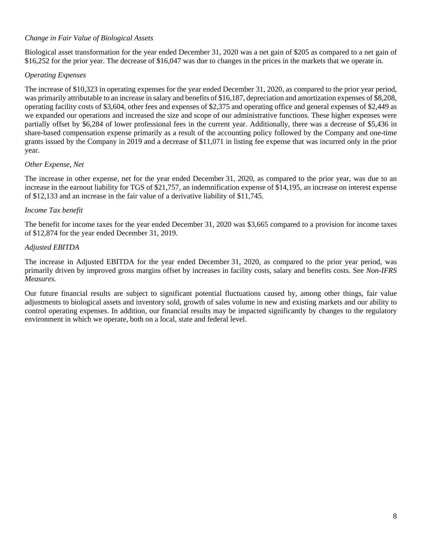# *Change in Fair Value of Biological Assets*

Biological asset transformation for the year ended December 31, 2020 was a net gain of \$205 as compared to a net gain of \$16,252 for the prior year. The decrease of \$16,047 was due to changes in the prices in the markets that we operate in.

## *Operating Expenses*

The increase of \$10,323 in operating expenses for the year ended December 31, 2020, as compared to the prior year period, was primarily attributable to an increase in salary and benefits of \$16,187, depreciation and amortization expenses of \$8,208, operating facility costs of \$3,604, other fees and expenses of \$2,375 and operating office and general expenses of \$2,449 as we expanded our operations and increased the size and scope of our administrative functions. These higher expenses were partially offset by \$6,284 of lower professional fees in the current year. Additionally, there was a decrease of \$5,436 in share-based compensation expense primarily as a result of the accounting policy followed by the Company and one-time grants issued by the Company in 2019 and a decrease of \$11,071 in listing fee expense that was incurred only in the prior year.

## *Other Expense, Net*

The increase in other expense, net for the year ended December 31, 2020, as compared to the prior year, was due to an increase in the earnout liability for TGS of \$21,757, an indemnification expense of \$14,195, an increase on interest expense of \$12,133 and an increase in the fair value of a derivative liability of \$11,745.

## *Income Tax benefit*

The benefit for income taxes for the year ended December 31, 2020 was \$3,665 compared to a provision for income taxes of \$12,874 for the year ended December 31, 2019.

### *Adjusted EBITDA*

The increase in Adjusted EBITDA for the year ended December 31, 2020, as compared to the prior year period, was primarily driven by improved gross margins offset by increases in facility costs, salary and benefits costs. See *Non-IFRS Measures*.

Our future financial results are subject to significant potential fluctuations caused by, among other things, fair value adjustments to biological assets and inventory sold, growth of sales volume in new and existing markets and our ability to control operating expenses. In addition, our financial results may be impacted significantly by changes to the regulatory environment in which we operate, both on a local, state and federal level.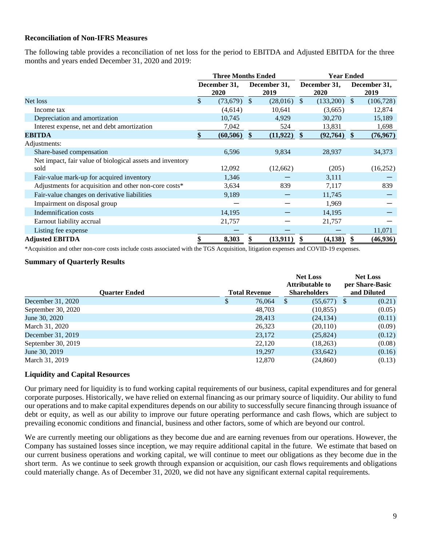## **Reconciliation of Non-IFRS Measures**

The following table provides a reconciliation of net loss for the period to EBITDA and Adjusted EBITDA for the three months and years ended December 31, 2020 and 2019:

|                                                           | <b>Three Months Ended</b> |                      |               |                      | <b>Year Ended</b> |                      |               |                      |
|-----------------------------------------------------------|---------------------------|----------------------|---------------|----------------------|-------------------|----------------------|---------------|----------------------|
|                                                           |                           | December 31,<br>2020 |               | December 31,<br>2019 |                   | December 31,<br>2020 |               | December 31,<br>2019 |
| Net loss                                                  | \$                        | $(73,679)$ \$        |               | (28,016)             | $\mathcal{S}$     | $(133,200)$ \$       |               | (106, 728)           |
| Income tax                                                |                           | (4,614)              |               | 10,641               |                   | (3,665)              |               | 12,874               |
| Depreciation and amortization                             |                           | 10,745               |               | 4,929                |                   | 30,270               |               | 15,189               |
| Interest expense, net and debt amortization               |                           | 7,042                |               | 524                  |                   | 13,831               |               | 1,698                |
| <b>EBITDA</b>                                             |                           | (60, 506)            | $\mathbf{\$}$ | (11, 922)            | \$.               | (92,764)             | $\mathbf{\$}$ | (76, 967)            |
| Adjustments:                                              |                           |                      |               |                      |                   |                      |               |                      |
| Share-based compensation                                  |                           | 6,596                |               | 9,834                |                   | 28,937               |               | 34,373               |
| Net impact, fair value of biological assets and inventory |                           |                      |               |                      |                   |                      |               |                      |
| sold                                                      |                           | 12,092               |               | (12,662)             |                   | (205)                |               | (16,252)             |
| Fair-value mark-up for acquired inventory                 |                           | 1,346                |               |                      |                   | 3,111                |               |                      |
| Adjustments for acquisition and other non-core costs*     |                           | 3,634                |               | 839                  |                   | 7,117                |               | 839                  |
| Fair-value changes on derivative liabilities              |                           | 9,189                |               |                      |                   | 11,745               |               |                      |
| Impairment on disposal group                              |                           |                      |               |                      |                   | 1,969                |               |                      |
| <b>Indemnification costs</b>                              |                           | 14,195               |               |                      |                   | 14,195               |               |                      |
| Earnout liability accrual                                 |                           | 21,757               |               |                      |                   | 21,757               |               |                      |
| Listing fee expense                                       |                           |                      |               |                      |                   |                      |               | 11,071               |
| <b>Adjusted EBITDA</b>                                    |                           | 8,303                |               | (13,911)             | -SS               | (4,138)              |               | (46,936)             |

\*Acquisition and other non-core costs include costs associated with the TGS Acquisition, litigation expenses and COVID-19 expenses.

### **Summary of Quarterly Results**

|                      |   |                      | <b>Net Loss</b><br>Attributable to | <b>Net Loss</b><br>per Share-Basic |
|----------------------|---|----------------------|------------------------------------|------------------------------------|
| <b>Ouarter Ended</b> |   | <b>Total Revenue</b> | <b>Shareholders</b>                | and Diluted                        |
| December 31, 2020    | S | 76,064               | -S<br>$(55,677)$ \$                | (0.21)                             |
| September 30, 2020   |   | 48.703               | (10, 855)                          | (0.05)                             |
| June 30, 2020        |   | 28,413               | (24, 134)                          | (0.11)                             |
| March 31, 2020       |   | 26,323               | (20,110)                           | (0.09)                             |
| December 31, 2019    |   | 23,172               | (25,824)                           | (0.12)                             |
| September 30, 2019   |   | 22,120               | (18,263)                           | (0.08)                             |
| June 30, 2019        |   | 19,297               | (33, 642)                          | (0.16)                             |
| March 31, 2019       |   | 12,870               | (24, 860)                          | (0.13)                             |

### **Liquidity and Capital Resources**

Our primary need for liquidity is to fund working capital requirements of our business, capital expenditures and for general corporate purposes. Historically, we have relied on external financing as our primary source of liquidity. Our ability to fund our operations and to make capital expenditures depends on our ability to successfully secure financing through issuance of debt or equity, as well as our ability to improve our future operating performance and cash flows, which are subject to prevailing economic conditions and financial, business and other factors, some of which are beyond our control.

We are currently meeting our obligations as they become due and are earning revenues from our operations. However, the Company has sustained losses since inception, we may require additional capital in the future. We estimate that based on our current business operations and working capital, we will continue to meet our obligations as they become due in the short term. As we continue to seek growth through expansion or acquisition, our cash flows requirements and obligations could materially change. As of December 31, 2020, we did not have any significant external capital requirements.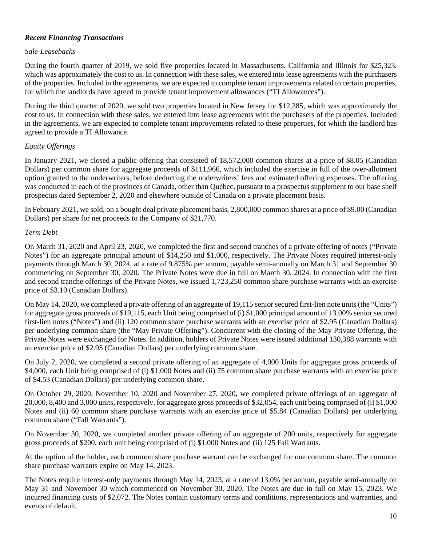# *Recent Financing Transactions*

## *Sale-Leasebacks*

During the fourth quarter of 2019, we sold five properties located in Massachusetts, California and Illinois for \$25,323, which was approximately the cost to us. In connection with these sales, we entered into lease agreements with the purchasers of the properties. Included in the agreements, we are expected to complete tenant improvements related to certain properties, for which the landlords have agreed to provide tenant improvement allowances ("TI Allowances").

During the third quarter of 2020, we sold two properties located in New Jersey for \$12,385, which was approximately the cost to us. In connection with these sales, we entered into lease agreements with the purchasers of the properties. Included in the agreements, we are expected to complete tenant improvements related to these properties, for which the landlord has agreed to provide a TI Allowance.

# *Equity Offerings*

In January 2021, we closed a public offering that consisted of 18,572,000 common shares at a price of \$8.05 (Canadian Dollars) per common share for aggregate proceeds of \$111,966, which included the exercise in full of the over-allotment option granted to the underwriters, before deducting the underwriters' fees and estimated offering expenses. The offering was conducted in each of the provinces of Canada, other than Québec, pursuant to a prospectus supplement to our base shelf prospectus dated September 2, 2020 and elsewhere outside of Canada on a private placement basis.

In February 2021, we sold, on a bought deal private placement basis, 2,800,000 common shares at a price of \$9.00 (Canadian Dollars) per share for net proceeds to the Company of \$21,770.

## *Term Debt*

On March 31, 2020 and April 23, 2020, we completed the first and second tranches of a private offering of notes ("Private Notes") for an aggregate principal amount of \$14,250 and \$1,000, respectively. The Private Notes required interest-only payments through March 30, 2024, at a rate of 9.875% per annum, payable semi-annually on March 31 and September 30 commencing on September 30, 2020. The Private Notes were due in full on March 30, 2024. In connection with the first and second tranche offerings of the Private Notes, we issued 1,723,250 common share purchase warrants with an exercise price of \$3.10 (Canadian Dollars).

On May 14, 2020, we completed a private offering of an aggregate of 19,115 senior secured first-lien note units (the "Units") for aggregate gross proceeds of \$19,115, each Unit being comprised of (i) \$1,000 principal amount of 13.00% senior secured first-lien notes ("Notes") and (ii) 120 common share purchase warrants with an exercise price of \$2.95 (Canadian Dollars) per underlying common share (the "May Private Offering"). Concurrent with the closing of the May Private Offering, the Private Notes were exchanged for Notes. In addition, holders of Private Notes were issued additional 130,388 warrants with an exercise price of \$2.95 (Canadian Dollars) per underlying common share.

On July 2, 2020, we completed a second private offering of an aggregate of 4,000 Units for aggregate gross proceeds of \$4,000, each Unit being comprised of (i) \$1,000 Notes and (ii) 75 common share purchase warrants with an exercise price of \$4.53 (Canadian Dollars) per underlying common share.

On October 29, 2020, November 10, 2020 and November 27, 2020, we completed private offerings of an aggregate of 20,000, 8,400 and 3,000 units, respectively, for aggregate gross proceeds of \$32,054, each unit being comprised of (i) \$1,000 Notes and (ii) 60 common share purchase warrants with an exercise price of \$5.84 (Canadian Dollars) per underlying common share ("Fall Warrants").

On November 30, 2020, we completed another private offering of an aggregate of 200 units, respectively for aggregate gross proceeds of \$200, each unit being comprised of (i) \$1,000 Notes and (ii) 125 Fall Warrants.

At the option of the holder, each common share purchase warrant can be exchanged for one common share. The common share purchase warrants expire on May 14, 2023.

The Notes require interest-only payments through May 14, 2023, at a rate of 13.0% per annum, payable semi-annually on May 31 and November 30 which commenced on November 30, 2020. The Notes are due in full on May 15, 2023. We incurred financing costs of \$2,072. The Notes contain customary terms and conditions, representations and warranties, and events of default.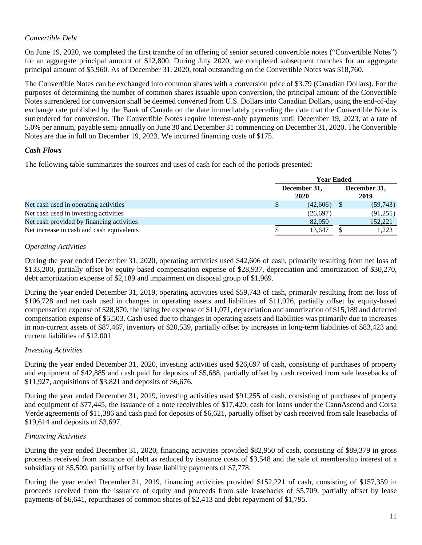# *Convertible Debt*

On June 19, 2020, we completed the first tranche of an offering of senior secured convertible notes ("Convertible Notes") for an aggregate principal amount of \$12,800. During July 2020, we completed subsequent tranches for an aggregate principal amount of \$5,960. As of December 31, 2020, total outstanding on the Convertible Notes was \$18,760.

The Convertible Notes can be exchanged into common shares with a conversion price of \$3.79 (Canadian Dollars). For the purposes of determining the number of common shares issuable upon conversion, the principal amount of the Convertible Notes surrendered for conversion shall be deemed converted from U.S. Dollars into Canadian Dollars, using the end-of-day exchange rate published by the Bank of Canada on the date immediately preceding the date that the Convertible Note is surrendered for conversion. The Convertible Notes require interest-only payments until December 19, 2023, at a rate of 5.0% per annum, payable semi-annually on June 30 and December 31 commencing on December 31, 2020. The Convertible Notes are due in full on December 19, 2023. We incurred financing costs of \$175.

## *Cash Flows*

The following table summarizes the sources and uses of cash for each of the periods presented:

|                                           |   | <b>Year Ended</b> |                      |                      |           |  |  |
|-------------------------------------------|---|-------------------|----------------------|----------------------|-----------|--|--|
|                                           |   |                   | December 31,<br>2020 | December 31,<br>2019 |           |  |  |
| Net cash used in operating activities     | J |                   | (42,606)             |                      | (59, 743) |  |  |
| Net cash used in investing activities     |   |                   | (26,697)             |                      | (91,255)  |  |  |
| Net cash provided by financing activities |   |                   | 82,950               |                      | 152,221   |  |  |
| Net increase in cash and cash equivalents |   |                   | 13.647               |                      | 1,223     |  |  |

# *Operating Activities*

During the year ended December 31, 2020, operating activities used \$42,606 of cash, primarily resulting from net loss of \$133,200, partially offset by equity-based compensation expense of \$28,937, depreciation and amortization of \$30,270, debt amortization expense of \$2,189 and impairment on disposal group of \$1,969.

During the year ended December 31, 2019, operating activities used \$59,743 of cash, primarily resulting from net loss of \$106,728 and net cash used in changes in operating assets and liabilities of \$11,026, partially offset by equity-based compensation expense of \$28,870, the listing fee expense of \$11,071, depreciation and amortization of \$15,189 and deferred compensation expense of \$5,503. Cash used due to changes in operating assets and liabilities was primarily due to increases in non-current assets of \$87,467, inventory of \$20,539, partially offset by increases in long-term liabilities of \$83,423 and current liabilities of \$12,001.

# *Investing Activities*

During the year ended December 31, 2020, investing activities used \$26,697 of cash, consisting of purchases of property and equipment of \$42,885 and cash paid for deposits of \$5,688, partially offset by cash received from sale leasebacks of \$11,927, acquisitions of \$3,821 and deposits of \$6,676.

During the year ended December 31, 2019, investing activities used \$91,255 of cash, consisting of purchases of property and equipment of \$77,445, the issuance of a note receivables of \$17,420, cash for loans under the CannAscend and Corsa Verde agreements of \$11,386 and cash paid for deposits of \$6,621, partially offset by cash received from sale leasebacks of \$19,614 and deposits of \$3,697.

# *Financing Activities*

During the year ended December 31, 2020, financing activities provided \$82,950 of cash, consisting of \$89,379 in gross proceeds received from issuance of debt as reduced by issuance costs of \$3,548 and the sale of membership interest of a subsidiary of \$5,509, partially offset by lease liability payments of \$7,778.

During the year ended December 31, 2019, financing activities provided \$152,221 of cash, consisting of \$157,359 in proceeds received from the issuance of equity and proceeds from sale leasebacks of \$5,709, partially offset by lease payments of \$6,641, repurchases of common shares of \$2,413 and debt repayment of \$1,795.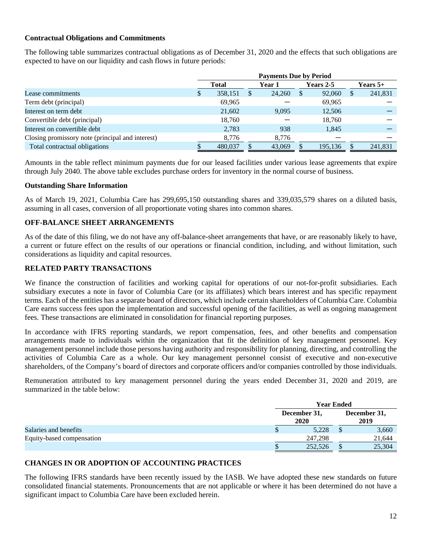## **Contractual Obligations and Commitments**

The following table summarizes contractual obligations as of December 31, 2020 and the effects that such obligations are expected to have on our liquidity and cash flows in future periods:

|                                                  | <b>Payments Due by Period</b> |              |  |        |          |           |  |            |
|--------------------------------------------------|-------------------------------|--------------|--|--------|----------|-----------|--|------------|
|                                                  |                               | <b>Total</b> |  | Year 1 |          | Years 2-5 |  | Years $5+$ |
| Lease commitments                                |                               | 358,151      |  | 24,260 | <b>S</b> | 92,060    |  | 241,831    |
| Term debt (principal)                            |                               | 69,965       |  |        |          | 69,965    |  |            |
| Interest on term debt                            |                               | 21,602       |  | 9.095  |          | 12,506    |  |            |
| Convertible debt (principal)                     |                               | 18,760       |  |        |          | 18,760    |  |            |
| Interest on convertible debt                     |                               | 2,783        |  | 938    |          | 1,845     |  |            |
| Closing promissory note (principal and interest) |                               | 8,776        |  | 8,776  |          |           |  |            |
| Total contractual obligations                    |                               | 480,037      |  | 43,069 |          | 195,136   |  | 241,831    |

Amounts in the table reflect minimum payments due for our leased facilities under various lease agreements that expire through July 2040. The above table excludes purchase orders for inventory in the normal course of business.

### **Outstanding Share Information**

As of March 19, 2021, Columbia Care has 299,695,150 outstanding shares and 339,035,579 shares on a diluted basis, assuming in all cases, conversion of all proportionate voting shares into common shares.

### **OFF-BALANCE SHEET ARRANGEMENTS**

As of the date of this filing, we do not have any off-balance-sheet arrangements that have, or are reasonably likely to have, a current or future effect on the results of our operations or financial condition, including, and without limitation, such considerations as liquidity and capital resources.

### **RELATED PARTY TRANSACTIONS**

We finance the construction of facilities and working capital for operations of our not-for-profit subsidiaries. Each subsidiary executes a note in favor of Columbia Care (or its affiliates) which bears interest and has specific repayment terms. Each of the entities has a separate board of directors, which include certain shareholders of Columbia Care. Columbia Care earns success fees upon the implementation and successful opening of the facilities, as well as ongoing management fees. These transactions are eliminated in consolidation for financial reporting purposes.

In accordance with IFRS reporting standards, we report compensation, fees, and other benefits and compensation arrangements made to individuals within the organization that fit the definition of key management personnel. Key management personnel include those persons having authority and responsibility for planning, directing, and controlling the activities of Columbia Care as a whole. Our key management personnel consist of executive and non-executive shareholders, of the Company's board of directors and corporate officers and/or companies controlled by those individuals.

Remuneration attributed to key management personnel during the years ended December 31, 2020 and 2019, are summarized in the table below:

|                           |                      | <b>Year Ended</b> |                      |  |
|---------------------------|----------------------|-------------------|----------------------|--|
|                           | December 31,<br>2020 |                   | December 31,<br>2019 |  |
| Salaries and benefits     | 5,228                |                   | 3,660                |  |
| Equity-based compensation | 247,298              |                   | 21,644               |  |
|                           | 252,526              |                   | 25,304               |  |

# **CHANGES IN OR ADOPTION OF ACCOUNTING PRACTICES**

The following IFRS standards have been recently issued by the IASB. We have adopted these new standards on future consolidated financial statements. Pronouncements that are not applicable or where it has been determined do not have a significant impact to Columbia Care have been excluded herein.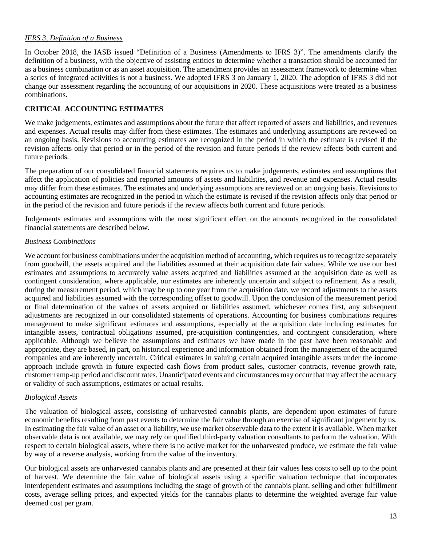## *IFRS 3, Definition of a Business*

In October 2018, the IASB issued "Definition of a Business (Amendments to IFRS 3)". The amendments clarify the definition of a business, with the objective of assisting entities to determine whether a transaction should be accounted for as a business combination or as an asset acquisition. The amendment provides an assessment framework to determine when a series of integrated activities is not a business. We adopted IFRS 3 on January 1, 2020. The adoption of IFRS 3 did not change our assessment regarding the accounting of our acquisitions in 2020. These acquisitions were treated as a business combinations.

# **CRITICAL ACCOUNTING ESTIMATES**

We make judgements, estimates and assumptions about the future that affect reported of assets and liabilities, and revenues and expenses. Actual results may differ from these estimates. The estimates and underlying assumptions are reviewed on an ongoing basis. Revisions to accounting estimates are recognized in the period in which the estimate is revised if the revision affects only that period or in the period of the revision and future periods if the review affects both current and future periods.

The preparation of our consolidated financial statements requires us to make judgements, estimates and assumptions that affect the application of policies and reported amounts of assets and liabilities, and revenue and expenses. Actual results may differ from these estimates. The estimates and underlying assumptions are reviewed on an ongoing basis. Revisions to accounting estimates are recognized in the period in which the estimate is revised if the revision affects only that period or in the period of the revision and future periods if the review affects both current and future periods.

Judgements estimates and assumptions with the most significant effect on the amounts recognized in the consolidated financial statements are described below.

### *Business Combinations*

We account for business combinations under the acquisition method of accounting, which requires us to recognize separately from goodwill, the assets acquired and the liabilities assumed at their acquisition date fair values. While we use our best estimates and assumptions to accurately value assets acquired and liabilities assumed at the acquisition date as well as contingent consideration, where applicable, our estimates are inherently uncertain and subject to refinement. As a result, during the measurement period, which may be up to one year from the acquisition date, we record adjustments to the assets acquired and liabilities assumed with the corresponding offset to goodwill. Upon the conclusion of the measurement period or final determination of the values of assets acquired or liabilities assumed, whichever comes first, any subsequent adjustments are recognized in our consolidated statements of operations. Accounting for business combinations requires management to make significant estimates and assumptions, especially at the acquisition date including estimates for intangible assets, contractual obligations assumed, pre-acquisition contingencies, and contingent consideration, where applicable. Although we believe the assumptions and estimates we have made in the past have been reasonable and appropriate, they are based, in part, on historical experience and information obtained from the management of the acquired companies and are inherently uncertain. Critical estimates in valuing certain acquired intangible assets under the income approach include growth in future expected cash flows from product sales, customer contracts, revenue growth rate, customer ramp-up period and discount rates. Unanticipated events and circumstances may occur that may affect the accuracy or validity of such assumptions, estimates or actual results.

# *Biological Assets*

The valuation of biological assets, consisting of unharvested cannabis plants, are dependent upon estimates of future economic benefits resulting from past events to determine the fair value through an exercise of significant judgement by us. In estimating the fair value of an asset or a liability, we use market observable data to the extent it is available. When market observable data is not available, we may rely on qualified third-party valuation consultants to perform the valuation. With respect to certain biological assets, where there is no active market for the unharvested produce, we estimate the fair value by way of a reverse analysis, working from the value of the inventory.

Our biological assets are unharvested cannabis plants and are presented at their fair values less costs to sell up to the point of harvest. We determine the fair value of biological assets using a specific valuation technique that incorporates interdependent estimates and assumptions including the stage of growth of the cannabis plant, selling and other fulfillment costs, average selling prices, and expected yields for the cannabis plants to determine the weighted average fair value deemed cost per gram.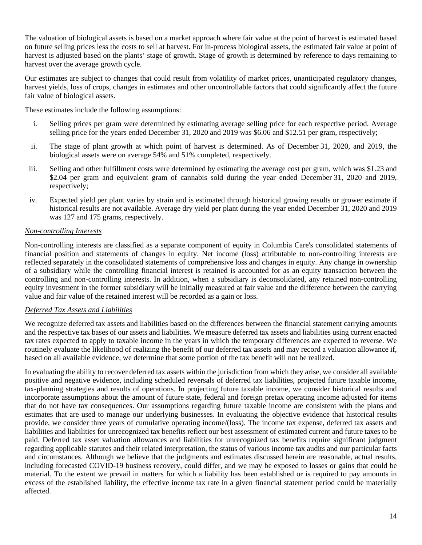The valuation of biological assets is based on a market approach where fair value at the point of harvest is estimated based on future selling prices less the costs to sell at harvest. For in-process biological assets, the estimated fair value at point of harvest is adjusted based on the plants' stage of growth. Stage of growth is determined by reference to days remaining to harvest over the average growth cycle.

Our estimates are subject to changes that could result from volatility of market prices, unanticipated regulatory changes, harvest yields, loss of crops, changes in estimates and other uncontrollable factors that could significantly affect the future fair value of biological assets.

These estimates include the following assumptions:

- i. Selling prices per gram were determined by estimating average selling price for each respective period. Average selling price for the years ended December 31, 2020 and 2019 was \$6.06 and \$12.51 per gram, respectively;
- ii. The stage of plant growth at which point of harvest is determined. As of December 31, 2020, and 2019, the biological assets were on average 54% and 51% completed, respectively.
- iii. Selling and other fulfillment costs were determined by estimating the average cost per gram, which was \$1.23 and \$2.04 per gram and equivalent gram of cannabis sold during the year ended December 31, 2020 and 2019, respectively;
- iv. Expected yield per plant varies by strain and is estimated through historical growing results or grower estimate if historical results are not available. Average dry yield per plant during the year ended December 31, 2020 and 2019 was 127 and 175 grams, respectively.

# *Non-controlling Interests*

Non-controlling interests are classified as a separate component of equity in Columbia Care's consolidated statements of financial position and statements of changes in equity. Net income (loss) attributable to non-controlling interests are reflected separately in the consolidated statements of comprehensive loss and changes in equity. Any change in ownership of a subsidiary while the controlling financial interest is retained is accounted for as an equity transaction between the controlling and non-controlling interests. In addition, when a subsidiary is deconsolidated, any retained non-controlling equity investment in the former subsidiary will be initially measured at fair value and the difference between the carrying value and fair value of the retained interest will be recorded as a gain or loss.

# *Deferred Tax Assets and Liabilities*

We recognize deferred tax assets and liabilities based on the differences between the financial statement carrying amounts and the respective tax bases of our assets and liabilities. We measure deferred tax assets and liabilities using current enacted tax rates expected to apply to taxable income in the years in which the temporary differences are expected to reverse. We routinely evaluate the likelihood of realizing the benefit of our deferred tax assets and may record a valuation allowance if, based on all available evidence, we determine that some portion of the tax benefit will not be realized.

In evaluating the ability to recover deferred tax assets within the jurisdiction from which they arise, we consider all available positive and negative evidence, including scheduled reversals of deferred tax liabilities, projected future taxable income, tax-planning strategies and results of operations. In projecting future taxable income, we consider historical results and incorporate assumptions about the amount of future state, federal and foreign pretax operating income adjusted for items that do not have tax consequences. Our assumptions regarding future taxable income are consistent with the plans and estimates that are used to manage our underlying businesses. In evaluating the objective evidence that historical results provide, we consider three years of cumulative operating income/(loss). The income tax expense, deferred tax assets and liabilities and liabilities for unrecognized tax benefits reflect our best assessment of estimated current and future taxes to be paid. Deferred tax asset valuation allowances and liabilities for unrecognized tax benefits require significant judgment regarding applicable statutes and their related interpretation, the status of various income tax audits and our particular facts and circumstances. Although we believe that the judgments and estimates discussed herein are reasonable, actual results, including forecasted COVID-19 business recovery, could differ, and we may be exposed to losses or gains that could be material. To the extent we prevail in matters for which a liability has been established or is required to pay amounts in excess of the established liability, the effective income tax rate in a given financial statement period could be materially affected.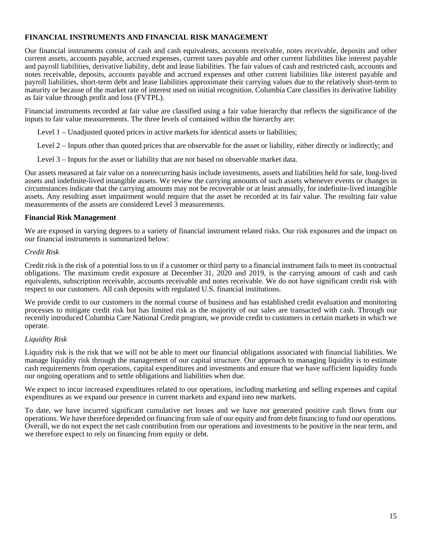# **FINANCIAL INSTRUMENTS AND FINANCIAL RISK MANAGEMENT**

Our financial instruments consist of cash and cash equivalents, accounts receivable, notes receivable, deposits and other current assets, accounts payable, accrued expenses, current taxes payable and other current liabilities like interest payable and payroll liabilities, derivative liability, debt and lease liabilities. The fair values of cash and restricted cash, accounts and notes receivable, deposits, accounts payable and accrued expenses and other current liabilities like interest payable and payroll liabilities, short-term debt and lease liabilities approximate their carrying values due to the relatively short-term to maturity or because of the market rate of interest used on initial recognition. Columbia Care classifies its derivative liability as fair value through profit and loss (FVTPL).

Financial instruments recorded at fair value are classified using a fair value hierarchy that reflects the significance of the inputs to fair value measurements. The three levels of contained within the hierarchy are:

Level 1 – Unadjusted quoted prices in active markets for identical assets or liabilities;

Level 2 – Inputs other than quoted prices that are observable for the asset or liability, either directly or indirectly; and

Level 3 – Inputs for the asset or liability that are not based on observable market data.

Our assets measured at fair value on a nonrecurring basis include investments, assets and liabilities held for sale, long-lived assets and indefinite-lived intangible assets. We review the carrying amounts of such assets whenever events or changes in circumstances indicate that the carrying amounts may not be recoverable or at least annually, for indefinite-lived intangible assets. Any resulting asset impairment would require that the asset be recorded at its fair value. The resulting fair value measurements of the assets are considered Level 3 measurements.

### **Financial Risk Management**

We are exposed in varying degrees to a variety of financial instrument related risks. Our risk exposures and the impact on our financial instruments is summarized below:

#### *Credit Risk*

Credit risk is the risk of a potential loss to us if a customer or third party to a financial instrument fails to meet its contractual obligations. The maximum credit exposure at December 31, 2020 and 2019, is the carrying amount of cash and cash equivalents, subscription receivable, accounts receivable and notes receivable. We do not have significant credit risk with respect to our customers. All cash deposits with regulated U.S. financial institutions.

We provide credit to our customers in the normal course of business and has established credit evaluation and monitoring processes to mitigate credit risk but has limited risk as the majority of our sales are transacted with cash. Through our recently introduced Columbia Care National Credit program, we provide credit to customers in certain markets in which we operate.

### *Liquidity Risk*

Liquidity risk is the risk that we will not be able to meet our financial obligations associated with financial liabilities. We manage liquidity risk through the management of our capital structure. Our approach to managing liquidity is to estimate cash requirements from operations, capital expenditures and investments and ensure that we have sufficient liquidity funds our ongoing operations and to settle obligations and liabilities when due.

We expect to incur increased expenditures related to our operations, including marketing and selling expenses and capital expenditures as we expand our presence in current markets and expand into new markets.

To date, we have incurred significant cumulative net losses and we have not generated positive cash flows from our operations. We have therefore depended on financing from sale of our equity and from debt financing to fund our operations. Overall, we do not expect the net cash contribution from our operations and investments to be positive in the near term, and we therefore expect to rely on financing from equity or debt.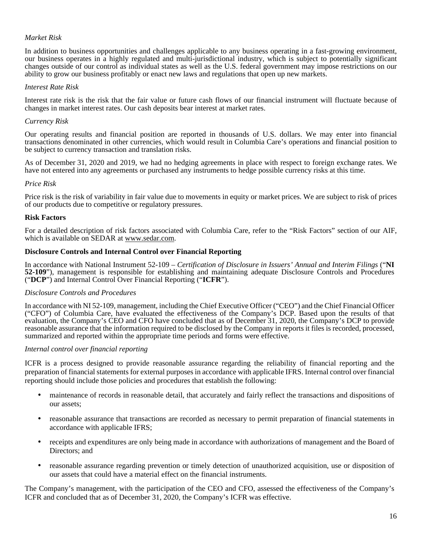# *Market Risk*

In addition to business opportunities and challenges applicable to any business operating in a fast-growing environment, our business operates in a highly regulated and multi-jurisdictional industry, which is subject to potentially significant changes outside of our control as individual states as well as the U.S. federal government may impose restrictions on our ability to grow our business profitably or enact new laws and regulations that open up new markets.

### *Interest Rate Risk*

Interest rate risk is the risk that the fair value or future cash flows of our financial instrument will fluctuate because of changes in market interest rates. Our cash deposits bear interest at market rates.

#### *Currency Risk*

Our operating results and financial position are reported in thousands of U.S. dollars. We may enter into financial transactions denominated in other currencies, which would result in Columbia Care's operations and financial position to be subject to currency transaction and translation risks.

As of December 31, 2020 and 2019, we had no hedging agreements in place with respect to foreign exchange rates. We have not entered into any agreements or purchased any instruments to hedge possible currency risks at this time.

#### *Price Risk*

Price risk is the risk of variability in fair value due to movements in equity or market prices. We are subject to risk of prices of our products due to competitive or regulatory pressures.

#### **Risk Factors**

For a detailed description of risk factors associated with Columbia Care, refer to the "Risk Factors" section of our AIF, which is available on SEDAR at www.sedar.com.

#### **Disclosure Controls and Internal Control over Financial Reporting**

In accordance with National Instrument 52-109 – *Certification of Disclosure in Issuers' Annual and Interim Filings* ("**NI 52-109**"), management is responsible for establishing and maintaining adequate Disclosure Controls and Procedures ("**DCP**") and Internal Control Over Financial Reporting ("**ICFR**").

#### *Disclosure Controls and Procedures*

In accordance with NI 52-109, management, including the Chief Executive Officer ("CEO") and the Chief Financial Officer ("CFO") of Columbia Care, have evaluated the effectiveness of the Company's DCP. Based upon the results of that evaluation, the Company's CEO and CFO have concluded that as of December 31, 2020, the Company's DCP to provide reasonable assurance that the information required to be disclosed by the Company in reports it files is recorded, processed, summarized and reported within the appropriate time periods and forms were effective.

#### *Internal control over financial reporting*

ICFR is a process designed to provide reasonable assurance regarding the reliability of financial reporting and the preparation of financial statements for external purposes in accordance with applicable IFRS. Internal control over financial reporting should include those policies and procedures that establish the following:

- maintenance of records in reasonable detail, that accurately and fairly reflect the transactions and dispositions of our assets;
- reasonable assurance that transactions are recorded as necessary to permit preparation of financial statements in accordance with applicable IFRS;
- receipts and expenditures are only being made in accordance with authorizations of management and the Board of Directors; and
- reasonable assurance regarding prevention or timely detection of unauthorized acquisition, use or disposition of our assets that could have a material effect on the financial instruments.

The Company's management, with the participation of the CEO and CFO, assessed the effectiveness of the Company's ICFR and concluded that as of December 31, 2020, the Company's ICFR was effective.